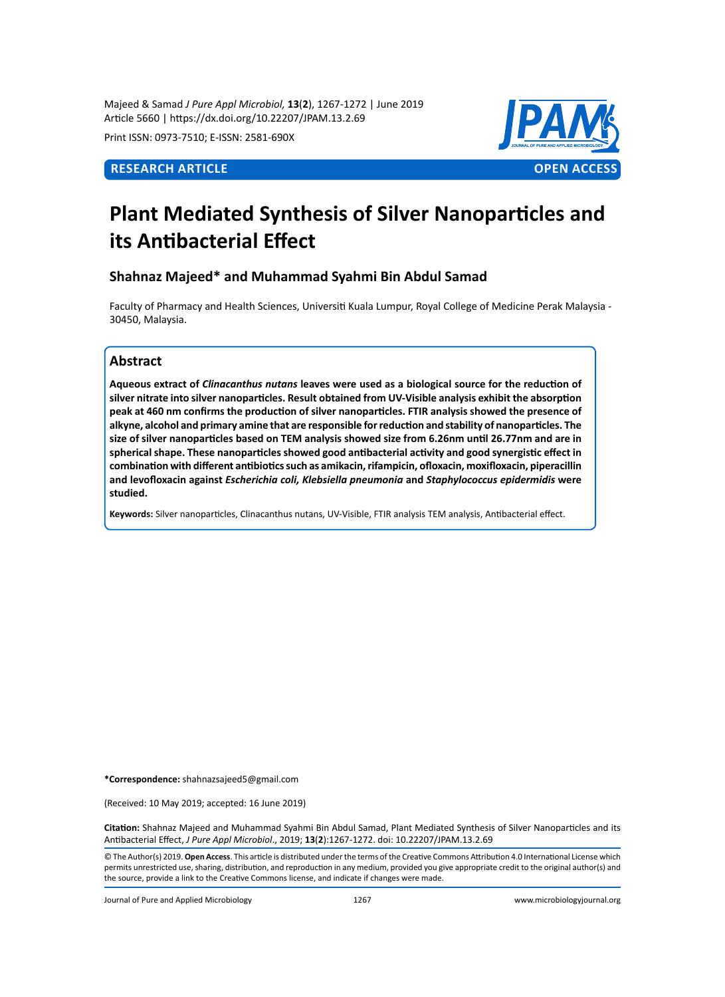Majeed & Samad *J Pure Appl Microbiol,* **13**(**2**), 1267-1272 | June 2019 Article 5660 | https://dx.doi.org/10.22207/JPAM.13.2.69

Print ISSN: 0973-7510; E-ISSN: 2581-690X



# **Plant Mediated Synthesis of Silver Nanoparticles and its Antibacterial Effect**

# **Shahnaz Majeed\* and Muhammad Syahmi Bin Abdul Samad**

Faculty of Pharmacy and Health Sciences, Universiti Kuala Lumpur, Royal College of Medicine Perak Malaysia - 30450, Malaysia.

# **Abstract**

**Aqueous extract of** *Clinacanthus nutans* **leaves were used as a biological source for the reduction of silver nitrate into silver nanoparticles. Result obtained from UV-Visible analysis exhibit the absorption peak at 460 nm confirms the production of silver nanoparticles. FTIR analysis showed the presence of alkyne, alcohol and primary amine that are responsible for reduction and stability of nanoparticles. The size of silver nanoparticles based on TEM analysis showed size from 6.26nm until 26.77nm and are in spherical shape. These nanoparticles showed good antibacterial activity and good synergistic effect in combination with different antibiotics such as amikacin, rifampicin, ofloxacin, moxifloxacin, piperacillin and levofloxacin against** *Escherichia coli, Klebsiella pneumonia* **and** *Staphylococcus epidermidis* **were studied.**

**Keywords:** Silver nanoparticles, Clinacanthus nutans, UV-Visible, FTIR analysis TEM analysis, Antibacterial effect.

**\*Correspondence:** shahnazsajeed5@gmail.com

(Received: 10 May 2019; accepted: 16 June 2019)

**Citation:** Shahnaz Majeed and Muhammad Syahmi Bin Abdul Samad, Plant Mediated Synthesis of Silver Nanoparticles and its Antibacterial Effect, *J Pure Appl Microbiol*., 2019; **13**(**2**):1267-1272. doi: 10.22207/JPAM.13.2.69

© The Author(s) 2019. **Open Access**. This article is distributed under the terms of the Creative Commons Attribution 4.0 International License which permits unrestricted use, sharing, distribution, and reproduction in any medium, provided you give appropriate credit to the original author(s) and the source, provide a link to the Creative Commons license, and indicate if changes were made.

Journal of Pure and Applied Microbiology 1267 www.microbiologyjournal.org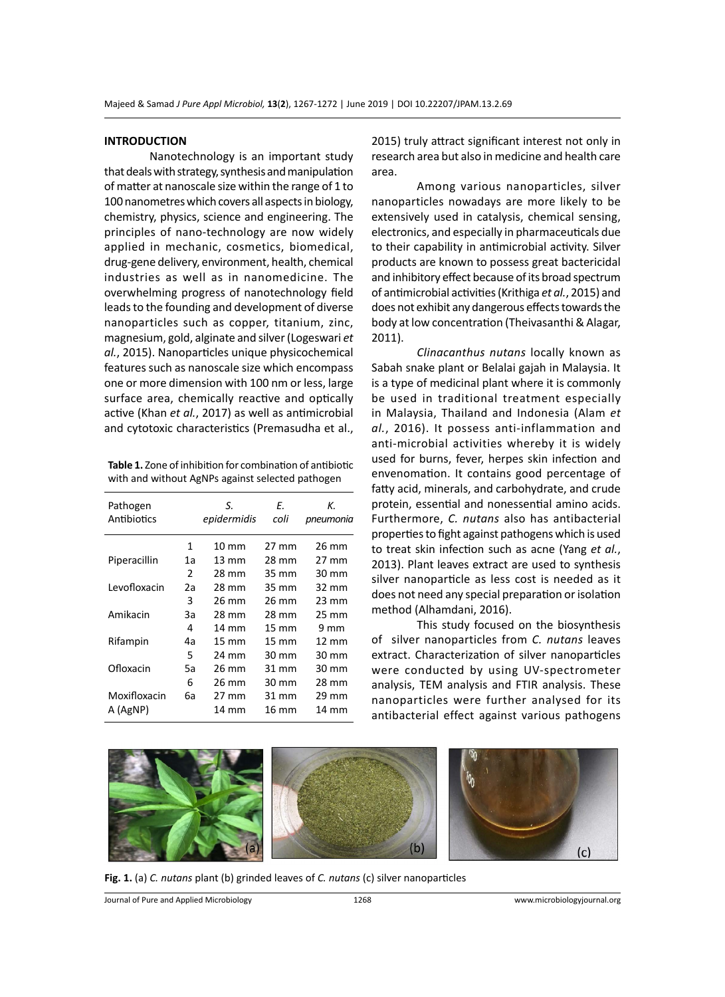#### **INTRODUCTION**

Nanotechnology is an important study that deals with strategy, synthesis and manipulation of matter at nanoscale size within the range of 1 to 100 nanometres which covers all aspects in biology, chemistry, physics, science and engineering. The principles of nano-technology are now widely applied in mechanic, cosmetics, biomedical, drug-gene delivery, environment, health, chemical industries as well as in nanomedicine. The overwhelming progress of nanotechnology field leads to the founding and development of diverse nanoparticles such as copper, titanium, zinc, magnesium, gold, alginate and silver (Logeswari *et al.*, 2015). Nanoparticles unique physicochemical features such as nanoscale size which encompass one or more dimension with 100 nm or less, large surface area, chemically reactive and optically active (Khan *et al.*, 2017) as well as antimicrobial and cytotoxic characteristics (Premasudha et al.,

**Table 1.** Zone of inhibition for combination of antibiotic with and without AgNPs against selected pathogen

| Pathogen     |    | S.              | Е.    | К.              |
|--------------|----|-----------------|-------|-----------------|
| Antibiotics  |    | epidermidis     | coli  | pneumonia       |
|              | 1  | $10 \text{ mm}$ | 27 mm | 26 mm           |
| Piperacillin | 1a | $13 \text{ mm}$ | 28 mm | 27 mm           |
|              | 2  | 28 mm           | 35 mm | 30 mm           |
| Levofloxacin | 2a | 28 mm           | 35 mm | 32 mm           |
|              | 3  | 26 mm           | 26 mm | $23 \text{ mm}$ |
| Amikacin     | За | 28 mm           | 28 mm | 25 mm           |
|              | 4  | $14 \text{ mm}$ | 15 mm | 9 mm            |
| Rifampin     | 4a | $15 \text{ mm}$ | 15 mm | $12 \text{ mm}$ |
|              | 5  | 24 mm           | 30 mm | 30 mm           |
| Ofloxacin    | 5a | 26 mm           | 31 mm | 30 mm           |
|              | 6  | 26 mm           | 30 mm | 28 mm           |
| Moxifloxacin | 6а | $27 \text{ mm}$ | 31 mm | 29 mm           |
| A (AgNP)     |    | 14 mm           | 16 mm | 14 mm           |

2015) truly attract significant interest not only in research area but also in medicine and health care area.

Among various nanoparticles, silver nanoparticles nowadays are more likely to be extensively used in catalysis, chemical sensing, electronics, and especially in pharmaceuticals due to their capability in antimicrobial activity. Silver products are known to possess great bactericidal and inhibitory effect because of its broad spectrum of antimicrobial activities (Krithiga *et al.*, 2015) and does not exhibit any dangerous effects towards the body at low concentration (Theivasanthi & Alagar, 2011).

*Clinacanthus nutans* locally known as Sabah snake plant or Belalai gajah in Malaysia. It is a type of medicinal plant where it is commonly be used in traditional treatment especially in Malaysia, Thailand and Indonesia (Alam *et al.*, 2016). It possess anti-inflammation and anti-microbial activities whereby it is widely used for burns, fever, herpes skin infection and envenomation. It contains good percentage of fatty acid, minerals, and carbohydrate, and crude protein, essential and nonessential amino acids. Furthermore, *C. nutans* also has antibacterial properties to fight against pathogens which is used to treat skin infection such as acne (Yang *et al.*, 2013). Plant leaves extract are used to synthesis silver nanoparticle as less cost is needed as it does not need any special preparation or isolation method (Alhamdani, 2016).

This study focused on the biosynthesis of silver nanoparticles from *C. nutans* leaves extract. Characterization of silver nanoparticles were conducted by using UV-spectrometer analysis, TEM analysis and FTIR analysis. These nanoparticles were further analysed for its antibacterial effect against various pathogens



**Fig. 1.** (a) *C. nutans* plant (b) grinded leaves of *C. nutans* (c) silver nanoparticles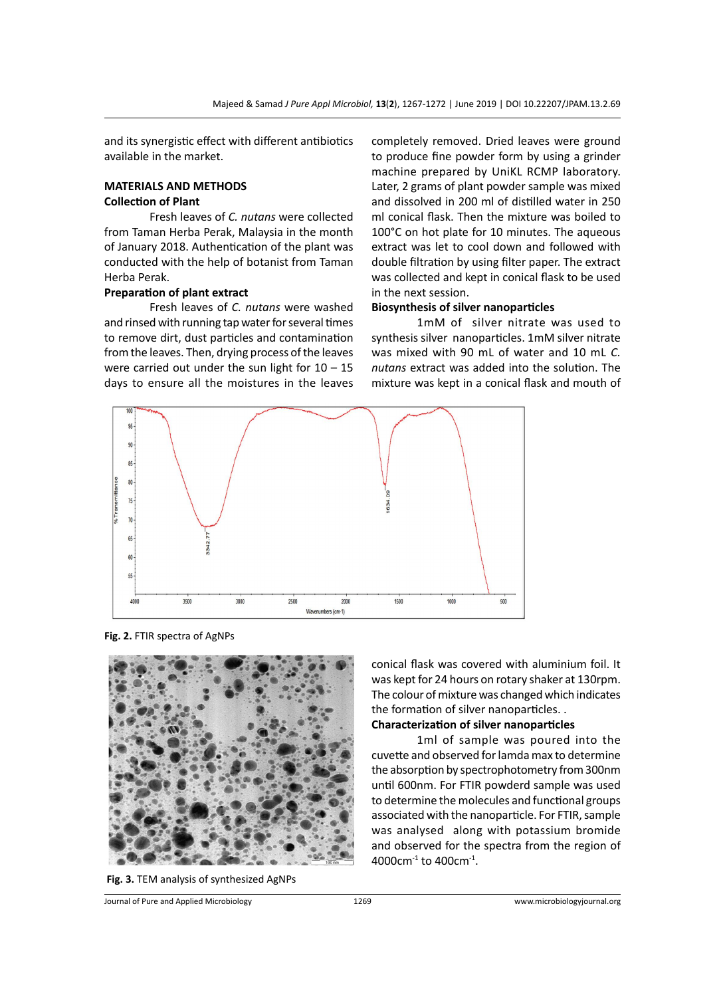and its synergistic effect with different antibiotics available in the market.

## **MATERIALS AND METHODS Collection of Plant**

Fresh leaves of *C. nutans* were collected from Taman Herba Perak, Malaysia in the month of January 2018. Authentication of the plant was conducted with the help of botanist from Taman Herba Perak.

#### **Preparation of plant extract**

Fresh leaves of *C. nutans* were washed and rinsed with running tap water for several times to remove dirt, dust particles and contamination from the leaves. Then, drying process of the leaves were carried out under the sun light for  $10 - 15$ days to ensure all the moistures in the leaves completely removed. Dried leaves were ground to produce fine powder form by using a grinder machine prepared by UniKL RCMP laboratory. Later, 2 grams of plant powder sample was mixed and dissolved in 200 ml of distilled water in 250 ml conical flask. Then the mixture was boiled to 100°C on hot plate for 10 minutes. The aqueous extract was let to cool down and followed with double filtration by using filter paper. The extract was collected and kept in conical flask to be used in the next session.

### **Biosynthesis of silver nanoparticles**

1mM of silver nitrate was used to synthesis silver nanoparticles. 1mM silver nitrate was mixed with 90 mL of water and 10 mL *C. nutans* extract was added into the solution. The mixture was kept in a conical flask and mouth of



**Fig. 2.** FTIR spectra of AgNPs





conical flask was covered with aluminium foil. It was kept for 24 hours on rotary shaker at 130rpm. The colour of mixture was changed which indicates the formation of silver nanoparticles. .

**Characterization of silver nanoparticles**

1ml of sample was poured into the cuvette and observed for lamda max to determine the absorption by spectrophotometry from 300nm until 600nm. For FTIR powderd sample was used to determine the molecules and functional groups associated with the nanoparticle. For FTIR, sample was analysed along with potassium bromide and observed for the spectra from the region of 4000cm $^{-1}$  to 400cm $^{-1}$ .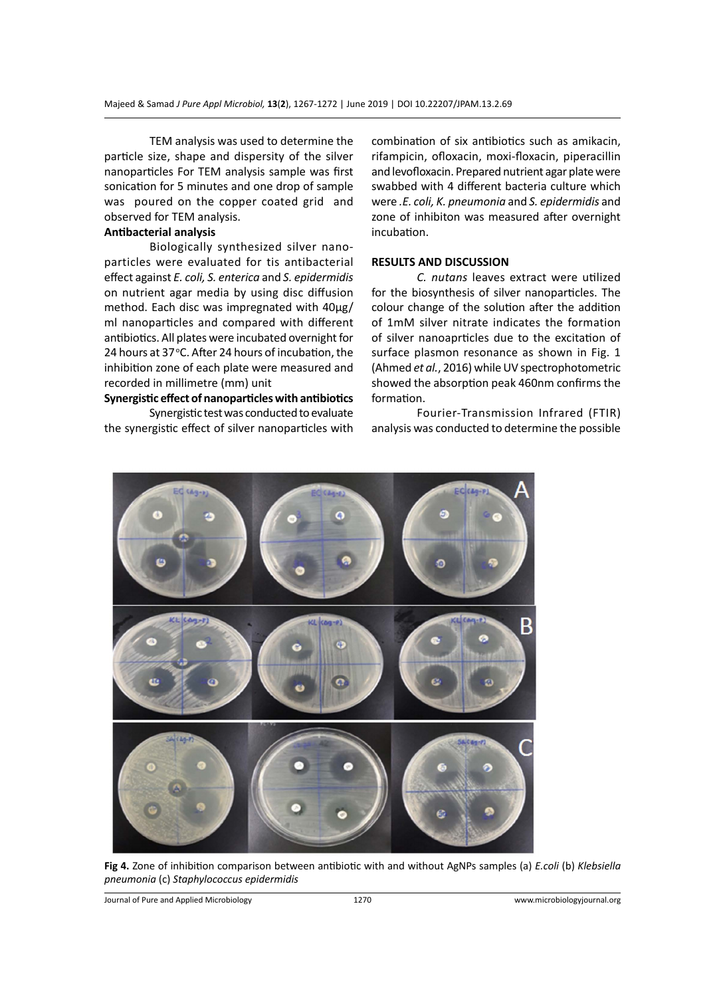TEM analysis was used to determine the particle size, shape and dispersity of the silver nanoparticles For TEM analysis sample was first sonication for 5 minutes and one drop of sample was poured on the copper coated grid and observed for TEM analysis.

#### **Antibacterial analysis**

Biologically synthesized silver nanoparticles were evaluated for tis antibacterial effect against *E. coli, S. enterica* and *S. epidermidis*  on nutrient agar media by using disc diffusion method. Each disc was impregnated with 40µg/ ml nanoparticles and compared with different antibiotics. All plates were incubated overnight for 24 hours at 37°C. After 24 hours of incubation, the inhibition zone of each plate were measured and recorded in millimetre (mm) unit

#### **Synergistic effect of nanoparticles with antibiotics**

Synergistic test was conducted to evaluate the synergistic effect of silver nanoparticles with

combination of six antibiotics such as amikacin, rifampicin, ofloxacin, moxi-floxacin, piperacillin and levofloxacin. Prepared nutrient agar plate were swabbed with 4 different bacteria culture which were *.E. coli, K. pneumonia* and *S. epidermidis* and zone of inhibiton was measured after overnight incubation.

#### **RESULTS AND DISCUSSION**

*C. nutans* leaves extract were utilized for the biosynthesis of silver nanoparticles. The colour change of the solution after the addition of 1mM silver nitrate indicates the formation of silver nanoaprticles due to the excitation of surface plasmon resonance as shown in Fig. 1 (Ahmed *et al.*, 2016) while UV spectrophotometric showed the absorption peak 460nm confirms the formation.

Fourier-Transmission Infrared (FTIR) analysis was conducted to determine the possible



**Fig 4.** Zone of inhibition comparison between antibiotic with and without AgNPs samples (a) *E.coli* (b) *Klebsiella pneumonia* (c) *Staphylococcus epidermidis*

Journal of Pure and Applied Microbiology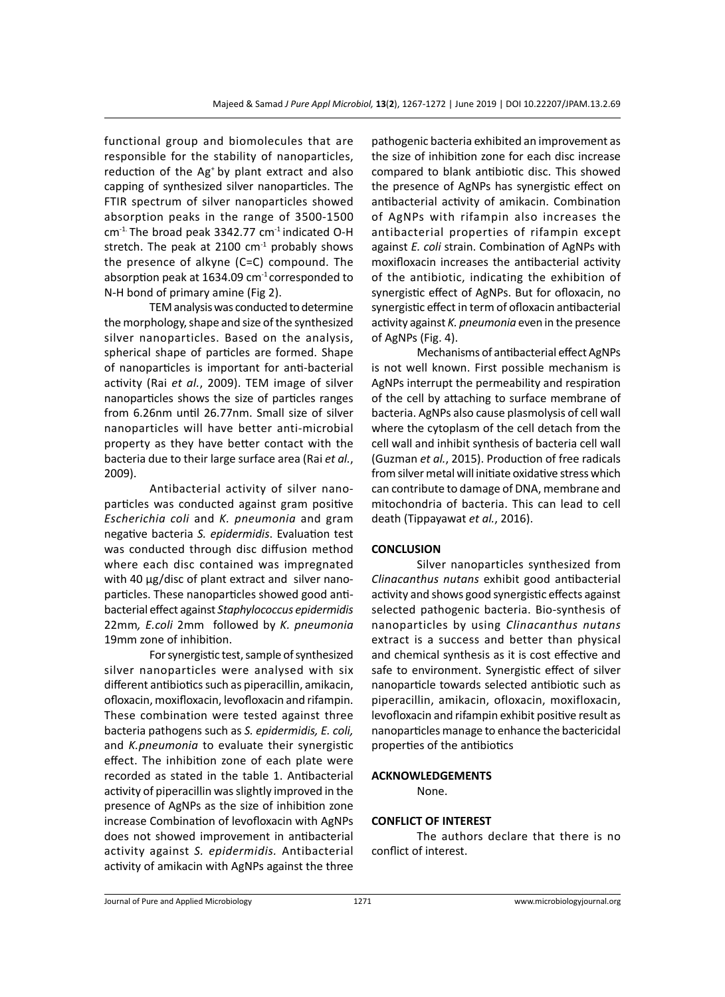functional group and biomolecules that are responsible for the stability of nanoparticles, reduction of the Ag<sup>+</sup> by plant extract and also capping of synthesized silver nanoparticles. The FTIR spectrum of silver nanoparticles showed absorption peaks in the range of 3500-1500  $cm<sup>-1</sup>$ . The broad peak 3342.77  $cm<sup>-1</sup>$  indicated O-H stretch. The peak at 2100  $cm<sup>-1</sup>$  probably shows the presence of alkyne (C=C) compound. The absorption peak at 1634.09  $cm<sup>-1</sup>$  corresponded to N-H bond of primary amine (Fig 2).

TEM analysis was conducted to determine the morphology, shape and size of the synthesized silver nanoparticles. Based on the analysis, spherical shape of particles are formed. Shape of nanoparticles is important for anti-bacterial activity (Rai *et al.*, 2009). TEM image of silver nanoparticles shows the size of particles ranges from 6.26nm until 26.77nm. Small size of silver nanoparticles will have better anti-microbial property as they have better contact with the bacteria due to their large surface area (Rai *et al.*, 2009).

Antibacterial activity of silver nanoparticles was conducted against gram positive *Escherichia coli* and *K. pneumonia* and gram negative bacteria *S. epidermidis*. Evaluation test was conducted through disc diffusion method where each disc contained was impregnated with 40 µg/disc of plant extract and silver nanoparticles. These nanoparticles showed good antibacterial effect against *Staphylococcus epidermidis*  22mm*, E.coli* 2mm followed by *K. pneumonia* 19mm zone of inhibition.

For synergistic test, sample of synthesized silver nanoparticles were analysed with six different antibiotics such as piperacillin, amikacin, ofloxacin, moxifloxacin, levofloxacin and rifampin. These combination were tested against three bacteria pathogens such as *S. epidermidis, E. coli,*  and *K.pneumonia* to evaluate their synergistic effect. The inhibition zone of each plate were recorded as stated in the table 1. Antibacterial activity of piperacillin was slightly improved in the presence of AgNPs as the size of inhibition zone increase Combination of levofloxacin with AgNPs does not showed improvement in antibacterial activity against *S. epidermidis.* Antibacterial activity of amikacin with AgNPs against the three pathogenic bacteria exhibited an improvement as the size of inhibition zone for each disc increase compared to blank antibiotic disc. This showed the presence of AgNPs has synergistic effect on antibacterial activity of amikacin. Combination of AgNPs with rifampin also increases the antibacterial properties of rifampin except against *E. coli* strain. Combination of AgNPs with moxifloxacin increases the antibacterial activity of the antibiotic, indicating the exhibition of synergistic effect of AgNPs. But for ofloxacin, no synergistic effect in term of ofloxacin antibacterial activity against *K. pneumonia* even in the presence of AgNPs (Fig. 4).

Mechanisms of antibacterial effect AgNPs is not well known. First possible mechanism is AgNPs interrupt the permeability and respiration of the cell by attaching to surface membrane of bacteria. AgNPs also cause plasmolysis of cell wall where the cytoplasm of the cell detach from the cell wall and inhibit synthesis of bacteria cell wall (Guzman *et al.*, 2015). Production of free radicals from silver metal will initiate oxidative stress which can contribute to damage of DNA, membrane and mitochondria of bacteria. This can lead to cell death (Tippayawat *et al.*, 2016).

#### **CONCLUSION**

Silver nanoparticles synthesized from *Clinacanthus nutans* exhibit good antibacterial activity and shows good synergistic effects against selected pathogenic bacteria. Bio-synthesis of nanoparticles by using *Clinacanthus nutans* extract is a success and better than physical and chemical synthesis as it is cost effective and safe to environment. Synergistic effect of silver nanoparticle towards selected antibiotic such as piperacillin, amikacin, ofloxacin, moxifloxacin, levofloxacin and rifampin exhibit positive result as nanoparticles manage to enhance the bactericidal properties of the antibiotics

#### **ACKNOWLEDGEMENTS**

None.

#### **CONFLICT OF INTEREST**

The authors declare that there is no conflict of interest.